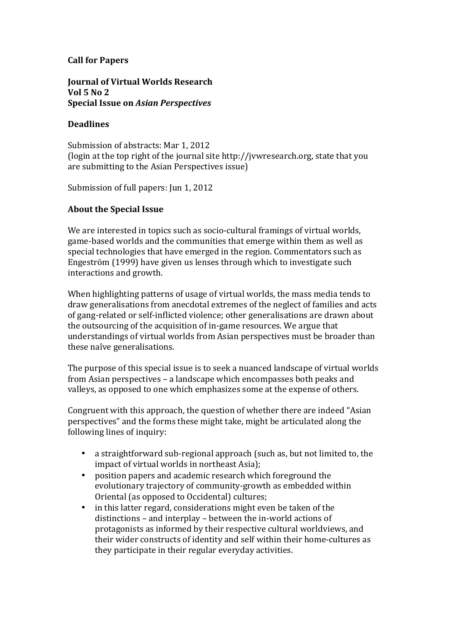# **Call for Papers**

#### **Journal of Virtual Worlds Research Vol 5 No 2 Special Issue on** *Asian Perspectives*

## **Deadlines**

Submission of abstracts: Mar 1, 2012 (login at the top right of the journal site http://jvwresearch.org, state that you are submitting to the Asian Perspectives issue)

Submission of full papers: Jun 1, 2012

## **About the Special Issue**

We are interested in topics such as socio-cultural framings of virtual worlds, game-based worlds and the communities that emerge within them as well as special technologies that have emerged in the region. Commentators such as Engeström (1999) have given us lenses through which to investigate such interactions and growth.

When highlighting patterns of usage of virtual worlds, the mass media tends to draw generalisations from anecdotal extremes of the neglect of families and acts of gang-related or self-inflicted violence; other generalisations are drawn about the outsourcing of the acquisition of in-game resources. We argue that understandings of virtual worlds from Asian perspectives must be broader than these naîve generalisations.

The purpose of this special issue is to seek a nuanced landscape of virtual worlds from Asian perspectives – a landscape which encompasses both peaks and valleys, as opposed to one which emphasizes some at the expense of others.

Congruent with this approach, the question of whether there are indeed "Asian perspectives" and the forms these might take, might be articulated along the following lines of inquiry:

- a straightforward sub-regional approach (such as, but not limited to, the impact of virtual worlds in northeast Asia);
- position papers and academic research which foreground the evolutionary trajectory of community-growth as embedded within Oriental (as opposed to Occidental) cultures;
- in this latter regard, considerations might even be taken of the distinctions – and interplay – between the in-world actions of protagonists as informed by their respective cultural worldviews, and their wider constructs of identity and self within their home-cultures as they participate in their regular everyday activities.